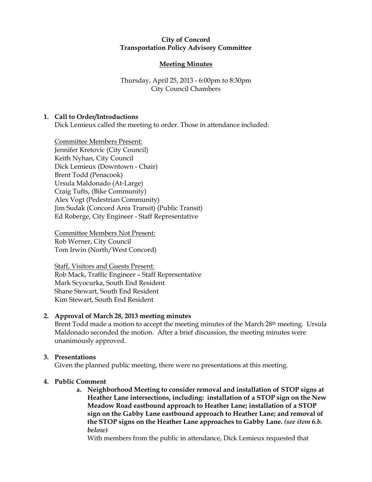## City of Concord Transportation Policy Advisory Committee

# Meeting Minutes

Thursday, April 25, 2013 - 6:00pm to 8:30pm City Council Chambers

## 1. Call to Order/Introductions

Dick Lemieux called the meeting to order. Those in attendance included:

Committee Members Present: Jennifer Kretovic (City Council) Keith Nyhan, City Council Dick Lemieux (Downtown - Chair) Brent Todd (Penacook) Ursula Maldonado (At-Large) Craig Tufts, (Bike Community) Alex Vogt (Pedestrian Community) Jim Sudak (Concord Area Transit) (Public Transit) Ed Roberge, City Engineer - Staff Representative

Committee Members Not Present: Rob Werner, City Council Tom Irwin (North/West Concord)

Staff, Visitors and Guests Present: Rob Mack, Traffic Engineer – Staff Representative Mark Scyocurka, South End Resident Shane Stewart, South End Resident Kim Stewart, South End Resident

### 2. Approval of March 28, 2013 meeting minutes

Brent Todd made a motion to accept the meeting minutes of the March 28<sup>th</sup> meeting. Ursula Maldonado seconded the motion. After a brief discussion, the meeting minutes were unanimously approved.

### 3. Presentations

Given the planned public meeting, there were no presentations at this meeting.

### 4. Public Comment

a. Neighborhood Meeting to consider removal and installation of STOP signs at Heather Lane intersections, including: installation of a STOP sign on the New Meadow Road eastbound approach to Heather Lane; installation of a STOP sign on the Gabby Lane eastbound approach to Heather Lane; and removal of the STOP signs on the Heather Lane approaches to Gabby Lane. (see item 6.b. below)

With members from the public in attendance, Dick Lemieux requested that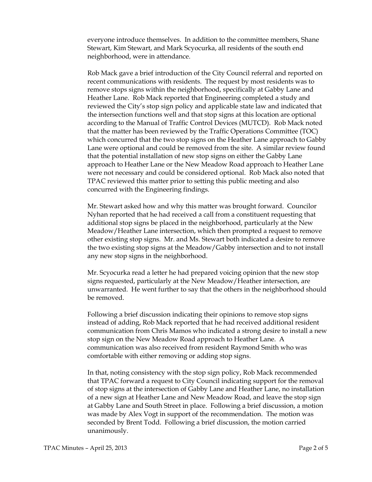everyone introduce themselves. In addition to the committee members, Shane Stewart, Kim Stewart, and Mark Scyocurka, all residents of the south end neighborhood, were in attendance.

Rob Mack gave a brief introduction of the City Council referral and reported on recent communications with residents. The request by most residents was to remove stops signs within the neighborhood, specifically at Gabby Lane and Heather Lane. Rob Mack reported that Engineering completed a study and reviewed the City's stop sign policy and applicable state law and indicated that the intersection functions well and that stop signs at this location are optional according to the Manual of Traffic Control Devices (MUTCD). Rob Mack noted that the matter has been reviewed by the Traffic Operations Committee (TOC) which concurred that the two stop signs on the Heather Lane approach to Gabby Lane were optional and could be removed from the site. A similar review found that the potential installation of new stop signs on either the Gabby Lane approach to Heather Lane or the New Meadow Road approach to Heather Lane were not necessary and could be considered optional. Rob Mack also noted that TPAC reviewed this matter prior to setting this public meeting and also concurred with the Engineering findings.

Mr. Stewart asked how and why this matter was brought forward. Councilor Nyhan reported that he had received a call from a constituent requesting that additional stop signs be placed in the neighborhood, particularly at the New Meadow/Heather Lane intersection, which then prompted a request to remove other existing stop signs. Mr. and Ms. Stewart both indicated a desire to remove the two existing stop signs at the Meadow/Gabby intersection and to not install any new stop signs in the neighborhood.

Mr. Scyocurka read a letter he had prepared voicing opinion that the new stop signs requested, particularly at the New Meadow/Heather intersection, are unwarranted. He went further to say that the others in the neighborhood should be removed.

Following a brief discussion indicating their opinions to remove stop signs instead of adding, Rob Mack reported that he had received additional resident communication from Chris Mamos who indicated a strong desire to install a new stop sign on the New Meadow Road approach to Heather Lane. A communication was also received from resident Raymond Smith who was comfortable with either removing or adding stop signs.

In that, noting consistency with the stop sign policy, Rob Mack recommended that TPAC forward a request to City Council indicating support for the removal of stop signs at the intersection of Gabby Lane and Heather Lane, no installation of a new sign at Heather Lane and New Meadow Road, and leave the stop sign at Gabby Lane and South Street in place. Following a brief discussion, a motion was made by Alex Vogt in support of the recommendation. The motion was seconded by Brent Todd. Following a brief discussion, the motion carried unanimously.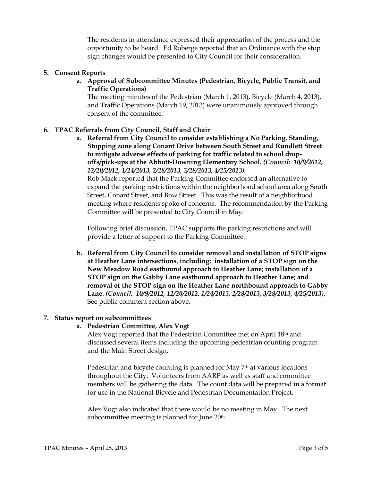The residents in attendance expressed their appreciation of the process and the opportunity to be heard. Ed Roberge reported that an Ordinance with the stop sign changes would be presented to City Council for their consideration.

### 5. Consent Reports

a. Approval of Subcommittee Minutes (Pedestrian, Bicycle, Public Transit, and Traffic Operations)

The meeting minutes of the Pedestrian (March 1, 2013), Bicycle (March 4, 2013), and Traffic Operations (March 19, 2013) were unanimously approved through consent of the committee.

## 6. TPAC Referrals from City Council, Staff and Chair

a. Referral from City Council to consider establishing a No Parking, Standing, Stopping zone along Conant Drive between South Street and Rundlett Street to mitigate adverse effects of parking for traffic related to school dropoffs/pick-ups at the Abbott-Downing Elementary School. (Council: 10/9/2012, 12/20/2012, 1/24/2013, 2/28/2013, 3/28/2013, 4/25/2013).

Rob Mack reported that the Parking Committee endorsed an alternative to expand the parking restrictions within the neighborhood school area along South Street, Conant Street, and Bow Street. This was the result of a neighborhood meeting where residents spoke of concerns. The recommendation by the Parking Committee will be presented to City Council in May.

Following brief discussion, TPAC supports the parking restrictions and will provide a letter of support to the Parking Committee.

b. Referral from City Council to consider removal and installation of STOP signs at Heather Lane intersections, including: installation of a STOP sign on the New Meadow Road eastbound approach to Heather Lane; installation of a STOP sign on the Gabby Lane eastbound approach to Heather Lane; and removal of the STOP sign on the Heather Lane northbound approach to Gabby Lane. (Council: 10/9/2012, 12/20/2012, 1/24/2013, 2/28/2013, 3/28/2013, 4/25/2013). See public comment section above.

### 7. Status report on subcommittees

### a. Pedestrian Committee, Alex Vogt

Alex Vogt reported that the Pedestrian Committee met on April 18th and discussed several items including the upcoming pedestrian counting program and the Main Street design.

Pedestrian and bicycle counting is planned for May 7<sup>th</sup> at various locations throughout the City. Volunteers from AARP as well as staff and committee members will be gathering the data. The count data will be prepared in a format for use in the National Bicycle and Pedestrian Documentation Project.

Alex Vogt also indicated that there would be no meeting in May. The next subcommittee meeting is planned for June 20<sup>th</sup>.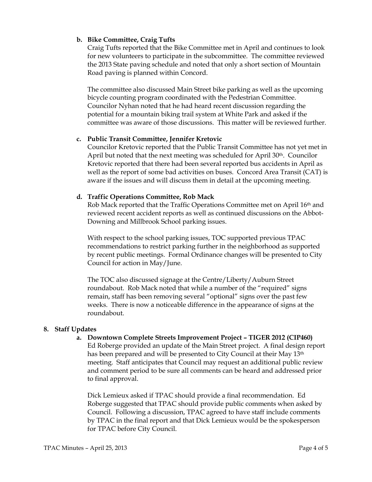## b. Bike Committee, Craig Tufts

Craig Tufts reported that the Bike Committee met in April and continues to look for new volunteers to participate in the subcommittee. The committee reviewed the 2013 State paving schedule and noted that only a short section of Mountain Road paving is planned within Concord.

The committee also discussed Main Street bike parking as well as the upcoming bicycle counting program coordinated with the Pedestrian Committee. Councilor Nyhan noted that he had heard recent discussion regarding the potential for a mountain biking trail system at White Park and asked if the committee was aware of those discussions. This matter will be reviewed further.

## c. Public Transit Committee, Jennifer Kretovic

Councilor Kretovic reported that the Public Transit Committee has not yet met in April but noted that the next meeting was scheduled for April 30th. Councilor Kretovic reported that there had been several reported bus accidents in April as well as the report of some bad activities on buses. Concord Area Transit (CAT) is aware if the issues and will discuss them in detail at the upcoming meeting.

### d. Traffic Operations Committee, Rob Mack

Rob Mack reported that the Traffic Operations Committee met on April 16th and reviewed recent accident reports as well as continued discussions on the Abbot-Downing and Millbrook School parking issues.

With respect to the school parking issues, TOC supported previous TPAC recommendations to restrict parking further in the neighborhood as supported by recent public meetings. Formal Ordinance changes will be presented to City Council for action in May/June.

The TOC also discussed signage at the Centre/Liberty/Auburn Street roundabout. Rob Mack noted that while a number of the "required" signs remain, staff has been removing several "optional" signs over the past few weeks. There is now a noticeable difference in the appearance of signs at the roundabout.

## 8. Staff Updates

### a. Downtown Complete Streets Improvement Project – TIGER 2012 (CIP460)

Ed Roberge provided an update of the Main Street project. A final design report has been prepared and will be presented to City Council at their May 13<sup>th</sup> meeting. Staff anticipates that Council may request an additional public review and comment period to be sure all comments can be heard and addressed prior to final approval.

Dick Lemieux asked if TPAC should provide a final recommendation. Ed Roberge suggested that TPAC should provide public comments when asked by Council. Following a discussion, TPAC agreed to have staff include comments by TPAC in the final report and that Dick Lemieux would be the spokesperson for TPAC before City Council.